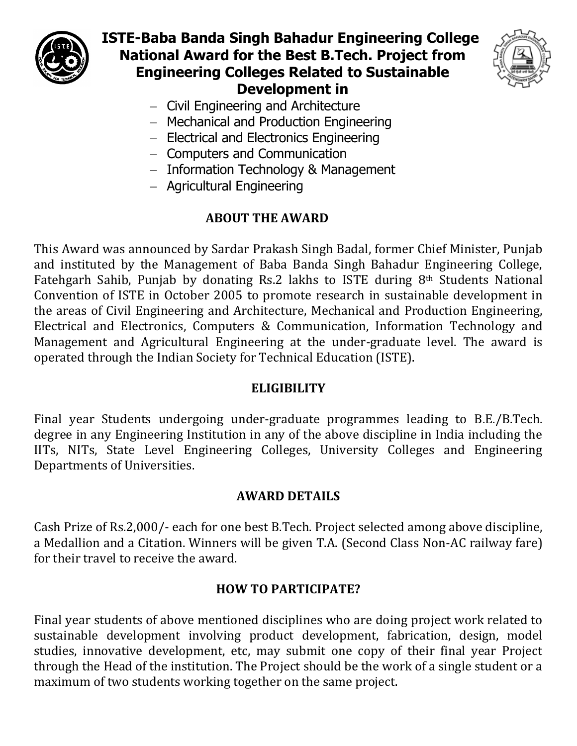

# **ISTE-Baba Banda Singh Bahadur Engineering College National Award for the Best B.Tech. Project from Engineering Colleges Related to Sustainable Development in**



- Civil Engineering and Architecture
- Mechanical and Production Engineering
- Electrical and Electronics Engineering
- Computers and Communication
- $-$  Information Technology & Management
- Agricultural Engineering

## **ABOUT THE AWARD**

This Award was announced by Sardar Prakash Singh Badal, former Chief Minister, Punjab and instituted by the Management of Baba Banda Singh Bahadur Engineering College, Fatehgarh Sahib, Punjab by donating Rs.2 lakhs to ISTE during 8th Students National Convention of ISTE in October 2005 to promote research in sustainable development in the areas of Civil Engineering and Architecture, Mechanical and Production Engineering, Electrical and Electronics, Computers & Communication, Information Technology and Management and Agricultural Engineering at the under-graduate level. The award is operated through the Indian Society for Technical Education (ISTE).

## **ELIGIBILITY**

Final year Students undergoing under-graduate programmes leading to B.E./B.Tech. degree in any Engineering Institution in any of the above discipline in India including the IITs, NITs, State Level Engineering Colleges, University Colleges and Engineering Departments of Universities.

## **AWARD DETAILS**

Cash Prize of Rs.2,000/- each for one best B.Tech. Project selected among above discipline, a Medallion and a Citation. Winners will be given T.A. (Second Class Non-AC railway fare) for their travel to receive the award.

## **HOW TO PARTICIPATE?**

Final year students of above mentioned disciplines who are doing project work related to sustainable development involving product development, fabrication, design, model studies, innovative development, etc, may submit one copy of their final year Project through the Head of the institution. The Project should be the work of a single student or a maximum of two students working together on the same project.